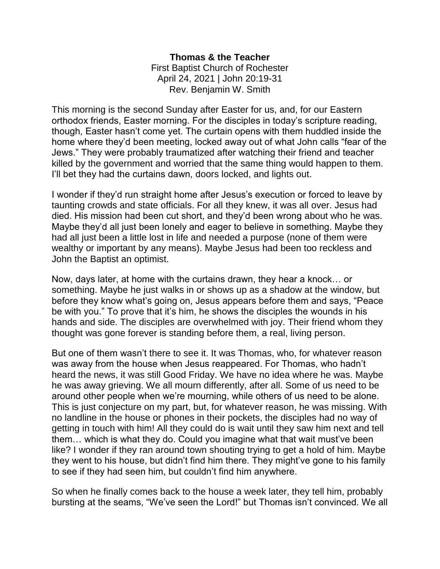## **Thomas & the Teacher** First Baptist Church of Rochester April 24, 2021 | John 20:19-31 Rev. Benjamin W. Smith

This morning is the second Sunday after Easter for us, and, for our Eastern orthodox friends, Easter morning. For the disciples in today's scripture reading, though, Easter hasn't come yet. The curtain opens with them huddled inside the home where they'd been meeting, locked away out of what John calls "fear of the Jews." They were probably traumatized after watching their friend and teacher killed by the government and worried that the same thing would happen to them. I'll bet they had the curtains dawn, doors locked, and lights out.

I wonder if they'd run straight home after Jesus's execution or forced to leave by taunting crowds and state officials. For all they knew, it was all over. Jesus had died. His mission had been cut short, and they'd been wrong about who he was. Maybe they'd all just been lonely and eager to believe in something. Maybe they had all just been a little lost in life and needed a purpose (none of them were wealthy or important by any means). Maybe Jesus had been too reckless and John the Baptist an optimist.

Now, days later, at home with the curtains drawn, they hear a knock… or something. Maybe he just walks in or shows up as a shadow at the window, but before they know what's going on, Jesus appears before them and says, "Peace be with you." To prove that it's him, he shows the disciples the wounds in his hands and side. The disciples are overwhelmed with joy. Their friend whom they thought was gone forever is standing before them, a real, living person.

But one of them wasn't there to see it. It was Thomas, who, for whatever reason was away from the house when Jesus reappeared. For Thomas, who hadn't heard the news, it was still Good Friday. We have no idea where he was. Maybe he was away grieving. We all mourn differently, after all. Some of us need to be around other people when we're mourning, while others of us need to be alone. This is just conjecture on my part, but, for whatever reason, he was missing. With no landline in the house or phones in their pockets, the disciples had no way of getting in touch with him! All they could do is wait until they saw him next and tell them… which is what they do. Could you imagine what that wait must've been like? I wonder if they ran around town shouting trying to get a hold of him. Maybe they went to his house, but didn't find him there. They might've gone to his family to see if they had seen him, but couldn't find him anywhere.

So when he finally comes back to the house a week later, they tell him, probably bursting at the seams, "We've seen the Lord!" but Thomas isn't convinced. We all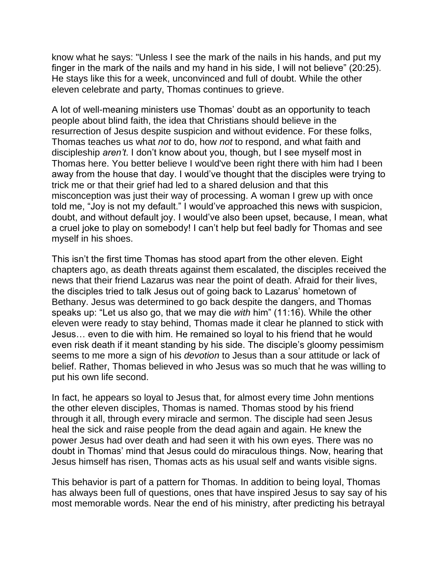know what he says: "Unless I see the mark of the nails in his hands, and put my finger in the mark of the nails and my hand in his side, I will not believe" (20:25). He stays like this for a week, unconvinced and full of doubt. While the other eleven celebrate and party, Thomas continues to grieve.

A lot of well-meaning ministers use Thomas' doubt as an opportunity to teach people about blind faith, the idea that Christians should believe in the resurrection of Jesus despite suspicion and without evidence. For these folks, Thomas teaches us what *not* to do, how *not* to respond, and what faith and discipleship *aren't*. I don't know about you, though, but I see myself most in Thomas here. You better believe I would've been right there with him had I been away from the house that day. I would've thought that the disciples were trying to trick me or that their grief had led to a shared delusion and that this misconception was just their way of processing. A woman I grew up with once told me, "Joy is not my default." I would've approached this news with suspicion, doubt, and without default joy. I would've also been upset, because, I mean, what a cruel joke to play on somebody! I can't help but feel badly for Thomas and see myself in his shoes.

This isn't the first time Thomas has stood apart from the other eleven. Eight chapters ago, as death threats against them escalated, the disciples received the news that their friend Lazarus was near the point of death. Afraid for their lives, the disciples tried to talk Jesus out of going back to Lazarus' hometown of Bethany. Jesus was determined to go back despite the dangers, and Thomas speaks up: "Let us also go, that we may die *with* him" (11:16). While the other eleven were ready to stay behind, Thomas made it clear he planned to stick with Jesus… even to die with him. He remained so loyal to his friend that he would even risk death if it meant standing by his side. The disciple's gloomy pessimism seems to me more a sign of his *devotion* to Jesus than a sour attitude or lack of belief. Rather, Thomas believed in who Jesus was so much that he was willing to put his own life second.

In fact, he appears so loyal to Jesus that, for almost every time John mentions the other eleven disciples, Thomas is named. Thomas stood by his friend through it all, through every miracle and sermon. The disciple had seen Jesus heal the sick and raise people from the dead again and again. He knew the power Jesus had over death and had seen it with his own eyes. There was no doubt in Thomas' mind that Jesus could do miraculous things. Now, hearing that Jesus himself has risen, Thomas acts as his usual self and wants visible signs.

This behavior is part of a pattern for Thomas. In addition to being loyal, Thomas has always been full of questions, ones that have inspired Jesus to say say of his most memorable words. Near the end of his ministry, after predicting his betrayal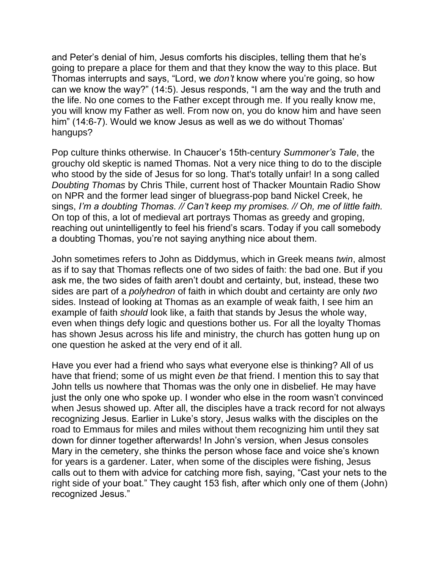and Peter's denial of him, Jesus comforts his disciples, telling them that he's going to prepare a place for them and that they know the way to this place. But Thomas interrupts and says, "Lord, we *don't* know where you're going, so how can we know the way?" (14:5). Jesus responds, "I am the way and the truth and the life. No one comes to the Father except through me. If you really know me, you will know my Father as well. From now on, you do know him and have seen him" (14:6-7). Would we know Jesus as well as we do without Thomas' hangups?

Pop culture thinks otherwise. In Chaucer's 15th-century *Summoner's Tale*, the grouchy old skeptic is named Thomas. Not a very nice thing to do to the disciple who stood by the side of Jesus for so long. That's totally unfair! In a song called *Doubting Thomas* by Chris Thile, current host of Thacker Mountain Radio Show on NPR and the former lead singer of bluegrass-pop band Nickel Creek, he sings, *I'm a doubting Thomas. // Can't keep my promises. // Oh, me of little faith.*  On top of this, a lot of medieval art portrays Thomas as greedy and groping, reaching out unintelligently to feel his friend's scars. Today if you call somebody a doubting Thomas, you're not saying anything nice about them.

John sometimes refers to John as Diddymus, which in Greek means *twin*, almost as if to say that Thomas reflects one of two sides of faith: the bad one. But if you ask me, the two sides of faith aren't doubt and certainty, but, instead, these two sides are part of a *polyhedron* of faith in which doubt and certainty are only *two* sides. Instead of looking at Thomas as an example of weak faith, I see him an example of faith *should* look like, a faith that stands by Jesus the whole way, even when things defy logic and questions bother us. For all the loyalty Thomas has shown Jesus across his life and ministry, the church has gotten hung up on one question he asked at the very end of it all.

Have you ever had a friend who says what everyone else is thinking? All of us have that friend; some of us might even *be* that friend. I mention this to say that John tells us nowhere that Thomas was the only one in disbelief. He may have just the only one who spoke up. I wonder who else in the room wasn't convinced when Jesus showed up. After all, the disciples have a track record for not always recognizing Jesus. Earlier in Luke's story, Jesus walks with the disciples on the road to Emmaus for miles and miles without them recognizing him until they sat down for dinner together afterwards! In John's version, when Jesus consoles Mary in the cemetery, she thinks the person whose face and voice she's known for years is a gardener. Later, when some of the disciples were fishing, Jesus calls out to them with advice for catching more fish, saying, "Cast your nets to the right side of your boat." They caught 153 fish, after which only one of them (John) recognized Jesus."